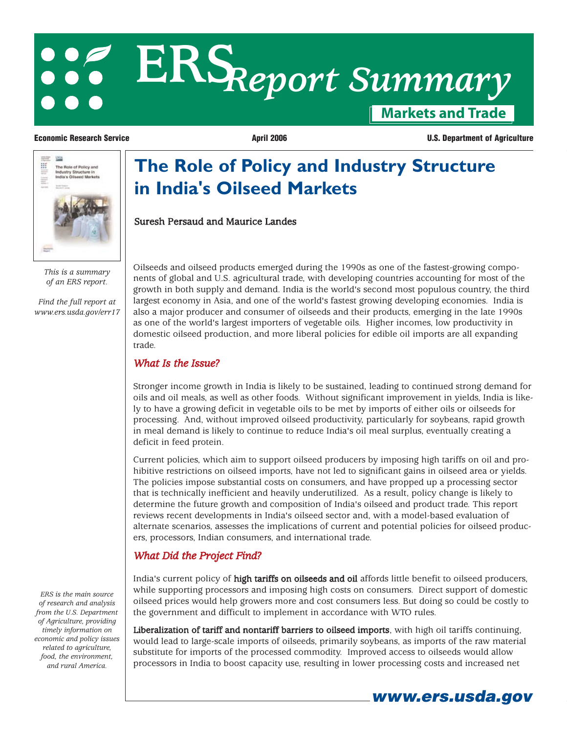# **Markets and Trade ERS***Report Summary*

**in India's Oilseed Markets**

Suresh Persaud and Maurice Landes

**Economic Research Service April 2006 April 2006 U.S. Department of Agriculture** 



*This is a summary of an ERS report.*

*Find the full report at [www.ers.usda.gov/err17](http://preview.ers.usda.gov/publications/err17)*

Oilseeds and oilseed products emerged during the 1990s as one of the fastest-growing components of global and U.S. agricultural trade, with developing countries accounting for most of the growth in both supply and demand. India is the world's second most populous country, the third largest economy in Asia, and one of the world's fastest growing developing economies. India is also a major producer and consumer of oilseeds and their products, emerging in the late 1990s as one of the world's largest importers of vegetable oils. Higher incomes, low productivity in domestic oilseed production, and more liberal policies for edible oil imports are all expanding trade.

**The Role of Policy and Industry Structure** 

#### *What Is the Issue?*

Stronger income growth in India is likely to be sustained, leading to continued strong demand for oils and oil meals, as well as other foods. Without significant improvement in yields, India is likely to have a growing deficit in vegetable oils to be met by imports of either oils or oilseeds for processing. And, without improved oilseed productivity, particularly for soybeans, rapid growth in meal demand is likely to continue to reduce India's oil meal surplus, eventually creating a deficit in feed protein.

Current policies, which aim to support oilseed producers by imposing high tariffs on oil and prohibitive restrictions on oilseed imports, have not led to significant gains in oilseed area or yields. The policies impose substantial costs on consumers, and have propped up a processing sector that is technically inefficient and heavily underutilized. As a result, policy change is likely to determine the future growth and composition of India's oilseed and product trade. This report reviews recent developments in India's oilseed sector and, with a model-based evaluation of alternate scenarios, assesses the implications of current and potential policies for oilseed producers, processors, Indian consumers, and international trade.

## *What Did the Project Find?*

India's current policy of high tariffs on oilseeds and oil affords little benefit to oilseed producers, while supporting processors and imposing high costs on consumers. Direct support of domestic oilseed prices would help growers more and cost consumers less. But doing so could be costly to the government and difficult to implement in accordance with WTO rules.

Liberalization of tariff and nontariff barriers to oilseed imports, with high oil tariffs continuing, would lead to large-scale imports of oilseeds, primarily soybeans, as imports of the raw material substitute for imports of the processed commodity. Improved access to oilseeds would allow processors in India to boost capacity use, resulting in lower processing costs and increased net

*ERS is the main source of research and analysis from the U.S. Department of Agriculture, providing timely information on economic and policy issues related to agriculture, food, the environment, and rural America.*

**www.ers.usda.gov**